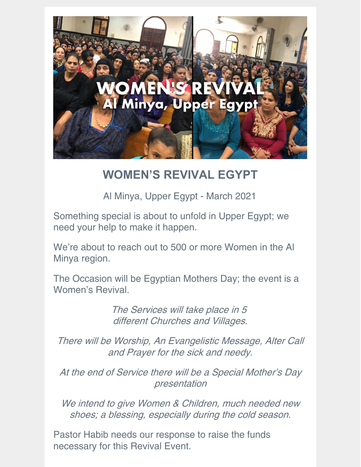

## **WOMEN'S REVIVAL EGYPT**

Al Minya, Upper Egypt - March 2021

Something special is about to unfold in Upper Egypt; we need your help to make it happen.

We're about to reach out to 500 or more Women in the Al Minya region.

The Occasion will be Egyptian Mothers Day; the event is a Women's Revival.

> The Services will take place in 5 different Churches and Villages.

There will be Worship, An Evangelistic Message, Alter Call and Prayer for the sick and needy.

At the end of Service there will be <sup>a</sup> Special Mother's Day presentation

We intend to give Women & Children, much needed new shoes; <sup>a</sup> blessing, especially during the cold season.

Pastor Habib needs our response to raise the funds necessary for this Revival Event.